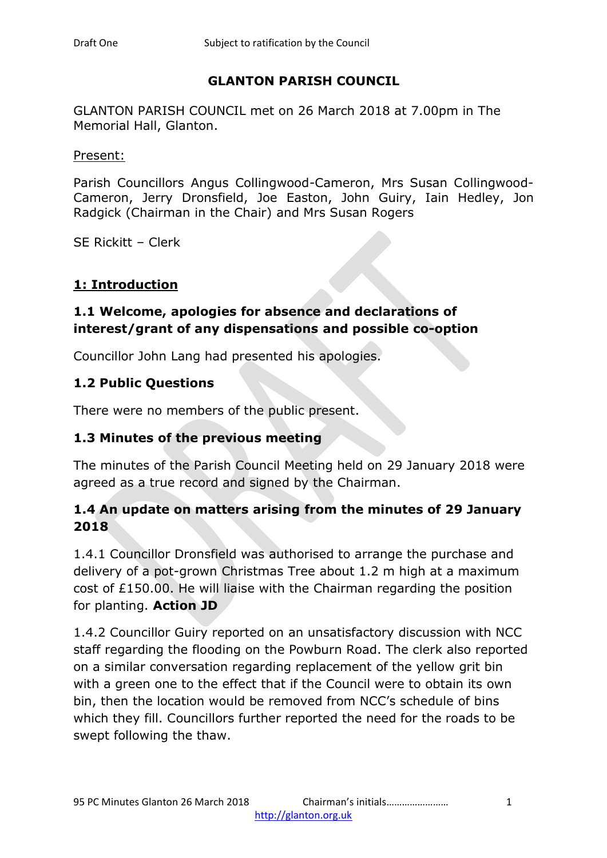## **GLANTON PARISH COUNCIL**

GLANTON PARISH COUNCIL met on 26 March 2018 at 7.00pm in The Memorial Hall, Glanton.

Present:

Parish Councillors Angus Collingwood-Cameron, Mrs Susan Collingwood-Cameron, Jerry Dronsfield, Joe Easton, John Guiry, Iain Hedley, Jon Radgick (Chairman in the Chair) and Mrs Susan Rogers

SE Rickitt – Clerk

#### **1: Introduction**

### **1.1 Welcome, apologies for absence and declarations of interest/grant of any dispensations and possible co-option**

Councillor John Lang had presented his apologies.

### **1.2 Public Questions**

There were no members of the public present.

### **1.3 Minutes of the previous meeting**

The minutes of the Parish Council Meeting held on 29 January 2018 were agreed as a true record and signed by the Chairman.

## **1.4 An update on matters arising from the minutes of 29 January 2018**

1.4.1 Councillor Dronsfield was authorised to arrange the purchase and delivery of a pot-grown Christmas Tree about 1.2 m high at a maximum cost of £150.00. He will liaise with the Chairman regarding the position for planting. **Action JD**

1.4.2 Councillor Guiry reported on an unsatisfactory discussion with NCC staff regarding the flooding on the Powburn Road. The clerk also reported on a similar conversation regarding replacement of the yellow grit bin with a green one to the effect that if the Council were to obtain its own bin, then the location would be removed from NCC's schedule of bins which they fill. Councillors further reported the need for the roads to be swept following the thaw.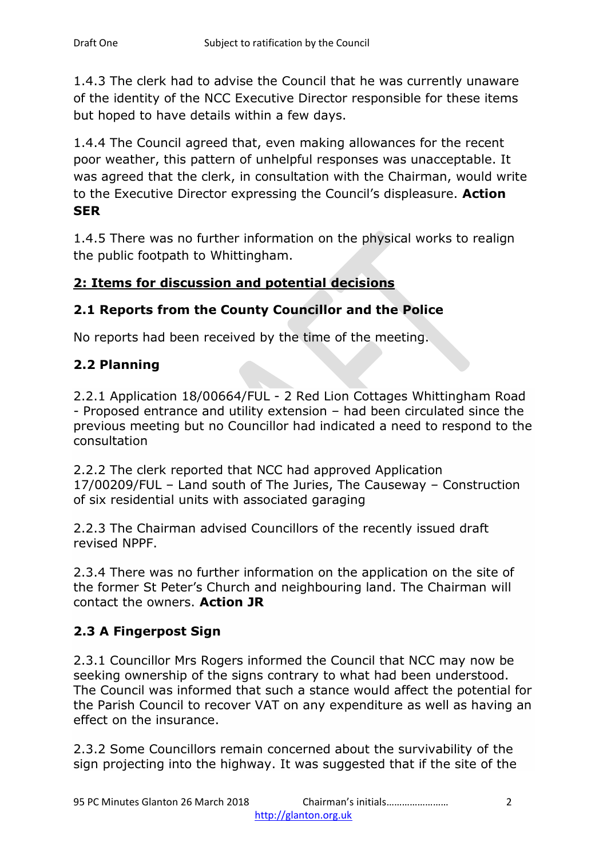1.4.3 The clerk had to advise the Council that he was currently unaware of the identity of the NCC Executive Director responsible for these items but hoped to have details within a few days.

1.4.4 The Council agreed that, even making allowances for the recent poor weather, this pattern of unhelpful responses was unacceptable. It was agreed that the clerk, in consultation with the Chairman, would write to the Executive Director expressing the Council's displeasure. **Action SER**

1.4.5 There was no further information on the physical works to realign the public footpath to Whittingham.

## **2: Items for discussion and potential decisions**

## **2.1 Reports from the County Councillor and the Police**

No reports had been received by the time of the meeting.

## **2.2 Planning**

2.2.1 Application 18/00664/FUL - 2 Red Lion Cottages Whittingham Road - Proposed entrance and utility extension – had been circulated since the previous meeting but no Councillor had indicated a need to respond to the consultation

2.2.2 The clerk reported that NCC had approved Application 17/00209/FUL – Land south of The Juries, The Causeway – Construction of six residential units with associated garaging

2.2.3 The Chairman advised Councillors of the recently issued draft revised NPPF.

2.3.4 There was no further information on the application on the site of the former St Peter's Church and neighbouring land. The Chairman will contact the owners. **Action JR**

## **2.3 A Fingerpost Sign**

2.3.1 Councillor Mrs Rogers informed the Council that NCC may now be seeking ownership of the signs contrary to what had been understood. The Council was informed that such a stance would affect the potential for the Parish Council to recover VAT on any expenditure as well as having an effect on the insurance.

2.3.2 Some Councillors remain concerned about the survivability of the sign projecting into the highway. It was suggested that if the site of the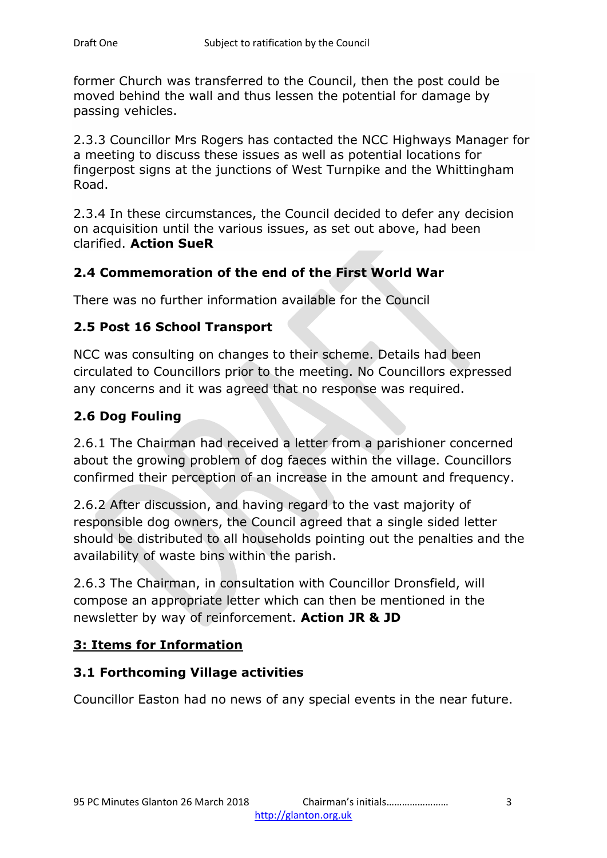former Church was transferred to the Council, then the post could be moved behind the wall and thus lessen the potential for damage by passing vehicles.

2.3.3 Councillor Mrs Rogers has contacted the NCC Highways Manager for a meeting to discuss these issues as well as potential locations for fingerpost signs at the junctions of West Turnpike and the Whittingham Road.

2.3.4 In these circumstances, the Council decided to defer any decision on acquisition until the various issues, as set out above, had been clarified. **Action SueR**

## **2.4 Commemoration of the end of the First World War**

There was no further information available for the Council

### **2.5 Post 16 School Transport**

NCC was consulting on changes to their scheme. Details had been circulated to Councillors prior to the meeting. No Councillors expressed any concerns and it was agreed that no response was required.

## **2.6 Dog Fouling**

2.6.1 The Chairman had received a letter from a parishioner concerned about the growing problem of dog faeces within the village. Councillors confirmed their perception of an increase in the amount and frequency.

2.6.2 After discussion, and having regard to the vast majority of responsible dog owners, the Council agreed that a single sided letter should be distributed to all households pointing out the penalties and the availability of waste bins within the parish.

2.6.3 The Chairman, in consultation with Councillor Dronsfield, will compose an appropriate letter which can then be mentioned in the newsletter by way of reinforcement. **Action JR & JD**

### **3: Items for Information**

### **3.1 Forthcoming Village activities**

Councillor Easton had no news of any special events in the near future.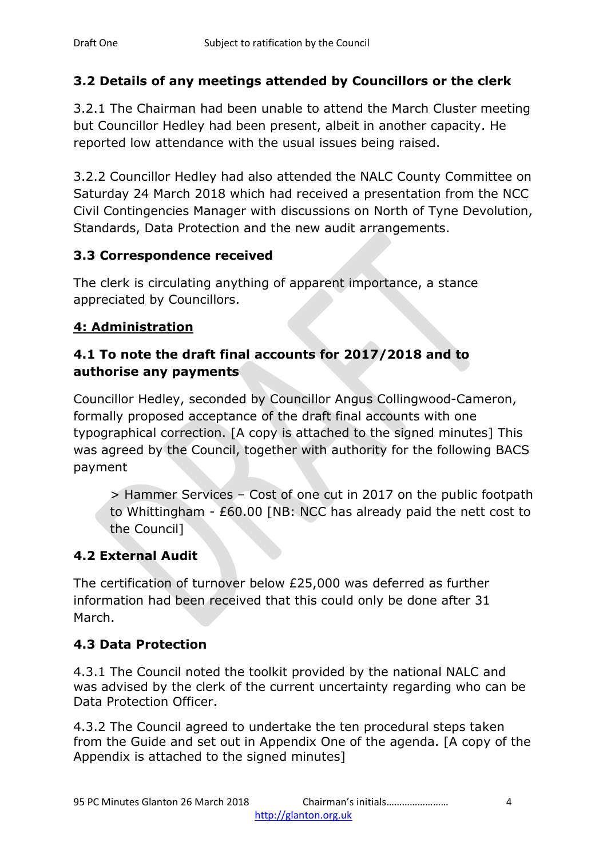# **3.2 Details of any meetings attended by Councillors or the clerk**

3.2.1 The Chairman had been unable to attend the March Cluster meeting but Councillor Hedley had been present, albeit in another capacity. He reported low attendance with the usual issues being raised.

3.2.2 Councillor Hedley had also attended the NALC County Committee on Saturday 24 March 2018 which had received a presentation from the NCC Civil Contingencies Manager with discussions on North of Tyne Devolution, Standards, Data Protection and the new audit arrangements.

# **3.3 Correspondence received**

The clerk is circulating anything of apparent importance, a stance appreciated by Councillors.

# **4: Administration**

# **4.1 To note the draft final accounts for 2017/2018 and to authorise any payments**

Councillor Hedley, seconded by Councillor Angus Collingwood-Cameron, formally proposed acceptance of the draft final accounts with one typographical correction. [A copy is attached to the signed minutes] This was agreed by the Council, together with authority for the following BACS payment

> Hammer Services – Cost of one cut in 2017 on the public footpath to Whittingham - £60.00 [NB: NCC has already paid the nett cost to the Council]

# **4.2 External Audit**

The certification of turnover below £25,000 was deferred as further information had been received that this could only be done after 31 March.

# **4.3 Data Protection**

4.3.1 The Council noted the toolkit provided by the national NALC and was advised by the clerk of the current uncertainty regarding who can be Data Protection Officer.

4.3.2 The Council agreed to undertake the ten procedural steps taken from the Guide and set out in Appendix One of the agenda. [A copy of the Appendix is attached to the signed minutes]